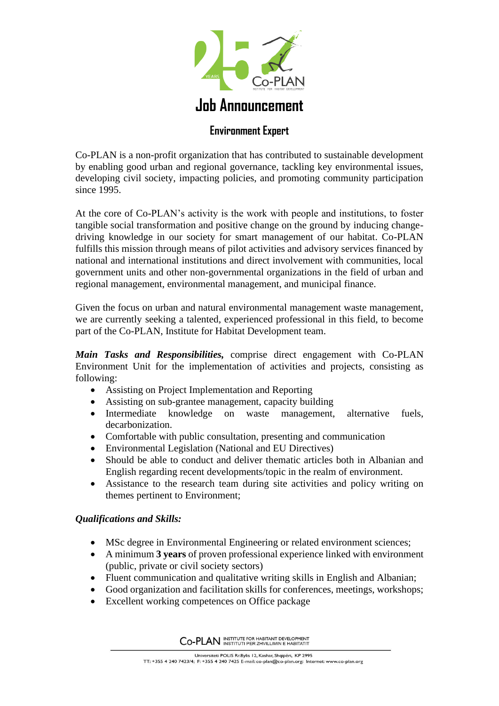

## **Environment Expert**

Co-PLAN is a non-profit organization that has contributed to sustainable development by enabling good urban and regional governance, tackling key environmental issues, developing civil society, impacting policies, and promoting community participation since 1995.

At the core of Co-PLAN's activity is the work with people and institutions, to foster tangible social transformation and positive change on the ground by inducing changedriving knowledge in our society for smart management of our habitat. Co-PLAN fulfills this mission through means of pilot activities and advisory services financed by national and international institutions and direct involvement with communities, local government units and other non-governmental organizations in the field of urban and regional management, environmental management, and municipal finance.

Given the focus on urban and natural environmental management waste management, we are currently seeking a talented, experienced professional in this field, to become part of the Co-PLAN, Institute for Habitat Development team.

*Main Tasks and Responsibilities,* comprise direct engagement with Co-PLAN Environment Unit for the implementation of activities and projects, consisting as following:

- Assisting on Project Implementation and Reporting
- Assisting on sub-grantee management, capacity building
- Intermediate knowledge on waste management, alternative fuels, decarbonization.
- Comfortable with public consultation, presenting and communication
- Environmental Legislation (National and EU Directives)
- Should be able to conduct and deliver thematic articles both in Albanian and English regarding recent developments/topic in the realm of environment.
- Assistance to the research team during site activities and policy writing on themes pertinent to Environment;

## *Qualifications and Skills:*

- MSc degree in Environmental Engineering or related environment sciences;
- A minimum **3 years** of proven professional experience linked with environment (public, private or civil society sectors)
- Fluent communication and qualitative writing skills in English and Albanian;
- Good organization and facilitation skills for conferences, meetings, workshops;
- Excellent working competences on Office package

CO-PLAN INSTITUTE FOR HABITANT DEVELOPMENT